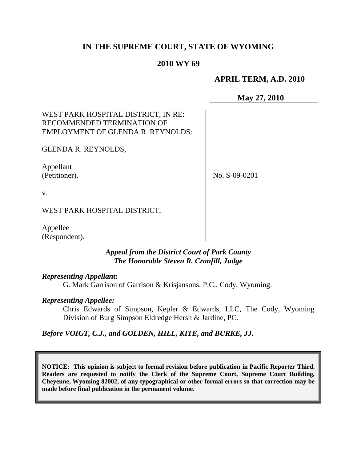# **IN THE SUPREME COURT, STATE OF WYOMING**

## **2010 WY 69**

## **APRIL TERM, A.D. 2010**

#### **May 27, 2010**

## WEST PARK HOSPITAL DISTRICT, IN RE: RECOMMENDED TERMINATION OF EMPLOYMENT OF GLENDA R. REYNOLDS:

GLENDA R. REYNOLDS,

Appellant (Petitioner),

No. S-09-0201

v.

WEST PARK HOSPITAL DISTRICT,

Appellee (Respondent).

## *Appeal from the District Court of Park County The Honorable Steven R. Cranfill, Judge*

#### *Representing Appellant:*

G. Mark Garrison of Garrison & Krisjansons, P.C., Cody, Wyoming.

#### *Representing Appellee:*

Chris Edwards of Simpson, Kepler & Edwards, LLC, The Cody, Wyoming Division of Burg Simpson Eldredge Hersh & Jardine, PC.

#### *Before VOIGT, C.J., and GOLDEN, HILL, KITE, and BURKE, JJ.*

**NOTICE: This opinion is subject to formal revision before publication in Pacific Reporter Third. Readers are requested to notify the Clerk of the Supreme Court, Supreme Court Building, Cheyenne, Wyoming 82002, of any typographical or other formal errors so that correction may be made before final publication in the permanent volume.**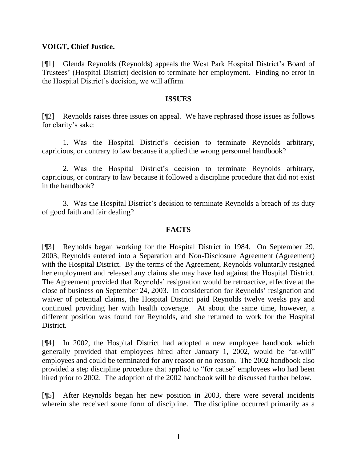#### **VOIGT, Chief Justice.**

[¶1] Glenda Reynolds (Reynolds) appeals the West Park Hospital District's Board of Trustees' (Hospital District) decision to terminate her employment. Finding no error in the Hospital District's decision, we will affirm.

#### **ISSUES**

[¶2] Reynolds raises three issues on appeal. We have rephrased those issues as follows for clarity's sake:

1. Was the Hospital District's decision to terminate Reynolds arbitrary, capricious, or contrary to law because it applied the wrong personnel handbook?

2. Was the Hospital District's decision to terminate Reynolds arbitrary, capricious, or contrary to law because it followed a discipline procedure that did not exist in the handbook?

3. Was the Hospital District's decision to terminate Reynolds a breach of its duty of good faith and fair dealing?

## **FACTS**

[¶3] Reynolds began working for the Hospital District in 1984. On September 29, 2003, Reynolds entered into a Separation and Non-Disclosure Agreement (Agreement) with the Hospital District. By the terms of the Agreement, Reynolds voluntarily resigned her employment and released any claims she may have had against the Hospital District. The Agreement provided that Reynolds' resignation would be retroactive, effective at the close of business on September 24, 2003. In consideration for Reynolds' resignation and waiver of potential claims, the Hospital District paid Reynolds twelve weeks pay and continued providing her with health coverage. At about the same time, however, a different position was found for Reynolds, and she returned to work for the Hospital District.

[¶4] In 2002, the Hospital District had adopted a new employee handbook which generally provided that employees hired after January 1, 2002, would be "at-will" employees and could be terminated for any reason or no reason. The 2002 handbook also provided a step discipline procedure that applied to "for cause" employees who had been hired prior to 2002. The adoption of the 2002 handbook will be discussed further below.

[¶5] After Reynolds began her new position in 2003, there were several incidents wherein she received some form of discipline. The discipline occurred primarily as a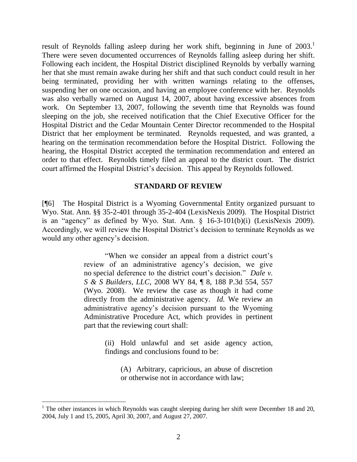result of Reynolds falling asleep during her work shift, beginning in June of  $2003$ .<sup>1</sup> There were seven documented occurrences of Reynolds falling asleep during her shift. Following each incident, the Hospital District disciplined Reynolds by verbally warning her that she must remain awake during her shift and that such conduct could result in her being terminated, providing her with written warnings relating to the offenses, suspending her on one occasion, and having an employee conference with her. Reynolds was also verbally warned on August 14, 2007, about having excessive absences from work. On September 13, 2007, following the seventh time that Reynolds was found sleeping on the job, she received notification that the Chief Executive Officer for the Hospital District and the Cedar Mountain Center Director recommended to the Hospital District that her employment be terminated. Reynolds requested, and was granted, a hearing on the termination recommendation before the Hospital District. Following the hearing, the Hospital District accepted the termination recommendation and entered an order to that effect. Reynolds timely filed an appeal to the district court. The district court affirmed the Hospital District's decision. This appeal by Reynolds followed.

#### **STANDARD OF REVIEW**

[¶6] The Hospital District is a Wyoming Governmental Entity organized pursuant to Wyo. Stat. Ann. §§ 35-2-401 through 35-2-404 (LexisNexis 2009). The Hospital District is an "agency" as defined by Wyo. Stat. Ann. § 16-3-101(b)(i) (LexisNexis 2009). Accordingly, we will review the Hospital District's decision to terminate Reynolds as we would any other agency's decision.

> "When we consider an appeal from a district court's review of an administrative agency's decision, we give no special deference to the district court's decision." *Dale v. S & S Builders, LLC*, 2008 WY 84, ¶ 8, 188 P.3d 554, 557 (Wyo. 2008). We review the case as though it had come directly from the administrative agency. *Id.* We review an administrative agency's decision pursuant to the Wyoming Administrative Procedure Act, which provides in pertinent part that the reviewing court shall:

> > (ii) Hold unlawful and set aside agency action, findings and conclusions found to be:

(A) Arbitrary, capricious, an abuse of discretion or otherwise not in accordance with law;

 $1$  The other instances in which Reynolds was caught sleeping during her shift were December 18 and 20, 2004, July 1 and 15, 2005, April 30, 2007, and August 27, 2007.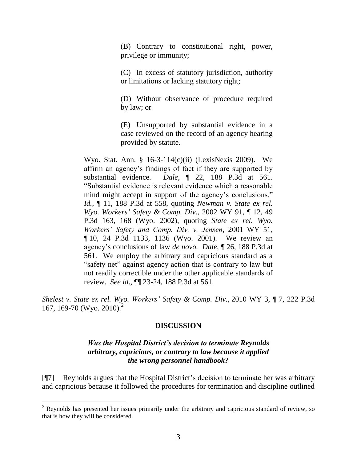(B) Contrary to constitutional right, power, privilege or immunity;

(C) In excess of statutory jurisdiction, authority or limitations or lacking statutory right;

(D) Without observance of procedure required by law; or

(E) Unsupported by substantial evidence in a case reviewed on the record of an agency hearing provided by statute.

Wyo. Stat. Ann. § 16-3-114(c)(ii) (LexisNexis 2009). We affirm an agency's findings of fact if they are supported by substantial evidence. *Dale*, ¶ 22, 188 P.3d at 561. "Substantial evidence is relevant evidence which a reasonable mind might accept in support of the agency's conclusions." *Id.*, ¶ 11, 188 P.3d at 558, quoting *Newman v. State ex rel. Wyo. Workers' Safety & Comp. Div.*, 2002 WY 91, ¶ 12, 49 P.3d 163, 168 (Wyo. 2002), quoting *State ex rel. Wyo. Workers' Safety and Comp. Div. v. Jensen*, 2001 WY 51, ¶ 10, 24 P.3d 1133, 1136 (Wyo. 2001). We review an agency's conclusions of law *de novo. Dale*, ¶ 26, 188 P.3d at 561. We employ the arbitrary and capricious standard as a "safety net" against agency action that is contrary to law but not readily correctible under the other applicable standards of review. *See id*., ¶¶ 23-24, 188 P.3d at 561.

*Shelest v. State ex rel. Wyo. Workers' Safety & Comp. Div.*, 2010 WY 3, ¶ 7, 222 P.3d 167, 169-70 (Wyo. 2010).<sup>2</sup>

#### **DISCUSSION**

#### *Was the Hospital District's decision to terminate Reynolds arbitrary, capricious, or contrary to law because it applied the wrong personnel handbook?*

[¶7] Reynolds argues that the Hospital District's decision to terminate her was arbitrary and capricious because it followed the procedures for termination and discipline outlined

<sup>&</sup>lt;sup>2</sup> Reynolds has presented her issues primarily under the arbitrary and capricious standard of review, so that is how they will be considered.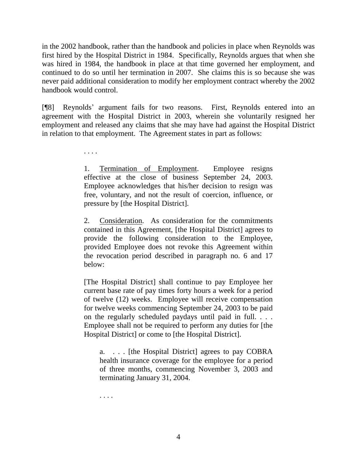in the 2002 handbook, rather than the handbook and policies in place when Reynolds was first hired by the Hospital District in 1984. Specifically, Reynolds argues that when she was hired in 1984, the handbook in place at that time governed her employment, and continued to do so until her termination in 2007. She claims this is so because she was never paid additional consideration to modify her employment contract whereby the 2002 handbook would control.

[¶8] Reynolds' argument fails for two reasons. First, Reynolds entered into an agreement with the Hospital District in 2003, wherein she voluntarily resigned her employment and released any claims that she may have had against the Hospital District in relation to that employment. The Agreement states in part as follows:

. . . .

1. Termination of Employment. Employee resigns effective at the close of business September 24, 2003. Employee acknowledges that his/her decision to resign was free, voluntary, and not the result of coercion, influence, or pressure by [the Hospital District].

2. Consideration. As consideration for the commitments contained in this Agreement, [the Hospital District] agrees to provide the following consideration to the Employee, provided Employee does not revoke this Agreement within the revocation period described in paragraph no. 6 and 17 below:

[The Hospital District] shall continue to pay Employee her current base rate of pay times forty hours a week for a period of twelve (12) weeks. Employee will receive compensation for twelve weeks commencing September 24, 2003 to be paid on the regularly scheduled paydays until paid in full. . . . Employee shall not be required to perform any duties for [the Hospital District] or come to [the Hospital District].

a. . . . [the Hospital District] agrees to pay COBRA health insurance coverage for the employee for a period of three months, commencing November 3, 2003 and terminating January 31, 2004.

. . . .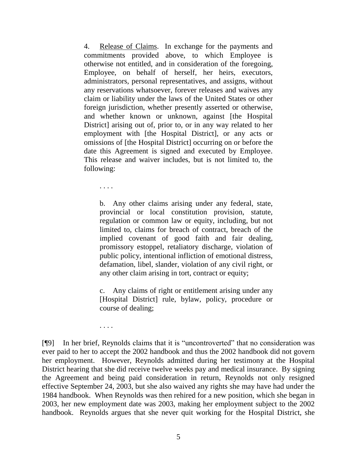4. Release of Claims. In exchange for the payments and commitments provided above, to which Employee is otherwise not entitled, and in consideration of the foregoing, Employee, on behalf of herself, her heirs, executors, administrators, personal representatives, and assigns, without any reservations whatsoever, forever releases and waives any claim or liability under the laws of the United States or other foreign jurisdiction, whether presently asserted or otherwise, and whether known or unknown, against [the Hospital District] arising out of, prior to, or in any way related to her employment with [the Hospital District], or any acts or omissions of [the Hospital District] occurring on or before the date this Agreement is signed and executed by Employee. This release and waiver includes, but is not limited to, the following:

. . . .

b. Any other claims arising under any federal, state, provincial or local constitution provision, statute, regulation or common law or equity, including, but not limited to, claims for breach of contract, breach of the implied covenant of good faith and fair dealing, promissory estoppel, retaliatory discharge, violation of public policy, intentional infliction of emotional distress, defamation, libel, slander, violation of any civil right, or any other claim arising in tort, contract or equity;

c. Any claims of right or entitlement arising under any [Hospital District] rule, bylaw, policy, procedure or course of dealing;

. . . .

[¶9] In her brief, Reynolds claims that it is "uncontroverted" that no consideration was ever paid to her to accept the 2002 handbook and thus the 2002 handbook did not govern her employment. However, Reynolds admitted during her testimony at the Hospital District hearing that she did receive twelve weeks pay and medical insurance. By signing the Agreement and being paid consideration in return, Reynolds not only resigned effective September 24, 2003, but she also waived any rights she may have had under the 1984 handbook. When Reynolds was then rehired for a new position, which she began in 2003, her new employment date was 2003, making her employment subject to the 2002 handbook. Reynolds argues that she never quit working for the Hospital District, she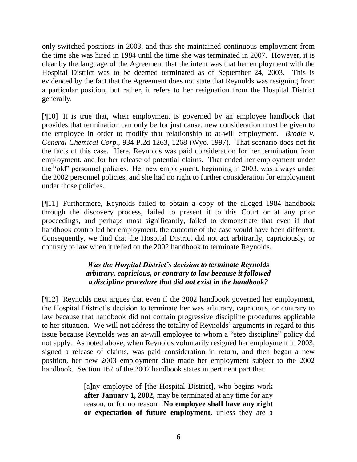only switched positions in 2003, and thus she maintained continuous employment from the time she was hired in 1984 until the time she was terminated in 2007. However, it is clear by the language of the Agreement that the intent was that her employment with the Hospital District was to be deemed terminated as of September 24, 2003. This is evidenced by the fact that the Agreement does not state that Reynolds was resigning from a particular position, but rather, it refers to her resignation from the Hospital District generally.

[¶10] It is true that, when employment is governed by an employee handbook that provides that termination can only be for just cause, new consideration must be given to the employee in order to modify that relationship to at-will employment. *Brodie v. General Chemical Corp.*, 934 P.2d 1263, 1268 (Wyo. 1997). That scenario does not fit the facts of this case. Here, Reynolds was paid consideration for her termination from employment, and for her release of potential claims. That ended her employment under the "old" personnel policies. Her new employment, beginning in 2003, was always under the 2002 personnel policies, and she had no right to further consideration for employment under those policies.

[¶11] Furthermore, Reynolds failed to obtain a copy of the alleged 1984 handbook through the discovery process, failed to present it to this Court or at any prior proceedings, and perhaps most significantly, failed to demonstrate that even if that handbook controlled her employment, the outcome of the case would have been different. Consequently, we find that the Hospital District did not act arbitrarily, capriciously, or contrary to law when it relied on the 2002 handbook to terminate Reynolds.

# *Was the Hospital District's decision to terminate Reynolds arbitrary, capricious, or contrary to law because it followed a discipline procedure that did not exist in the handbook?*

[¶12] Reynolds next argues that even if the 2002 handbook governed her employment, the Hospital District's decision to terminate her was arbitrary, capricious, or contrary to law because that handbook did not contain progressive discipline procedures applicable to her situation. We will not address the totality of Reynolds' arguments in regard to this issue because Reynolds was an at-will employee to whom a "step discipline" policy did not apply. As noted above, when Reynolds voluntarily resigned her employment in 2003, signed a release of claims, was paid consideration in return, and then began a new position, her new 2003 employment date made her employment subject to the 2002 handbook. Section 167 of the 2002 handbook states in pertinent part that

> [a]ny employee of [the Hospital District], who begins work **after January 1, 2002,** may be terminated at any time for any reason, or for no reason. **No employee shall have any right or expectation of future employment,** unless they are a